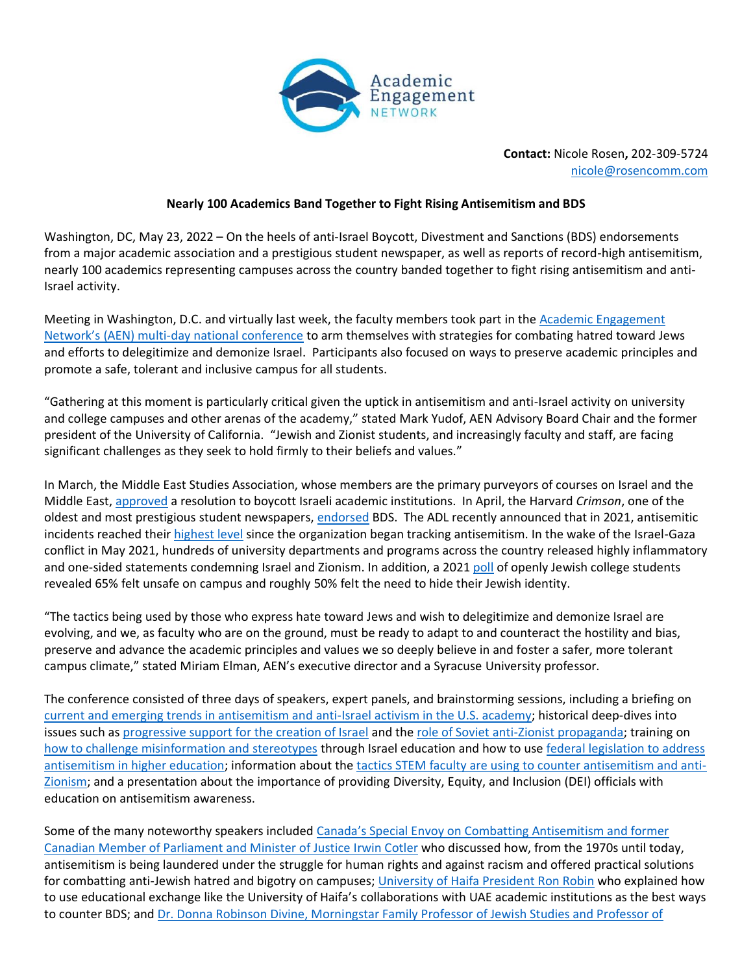

**Contact:** Nicole Rosen**,** 202-309-5724 [nicole@rosencomm.com](mailto:nicole@rosencomm.com)

## **Nearly 100 Academics Band Together to Fight Rising Antisemitism and BDS**

Washington, DC, May 23, 2022 – On the heels of anti-Israel Boycott, Divestment and Sanctions (BDS) endorsements from a major academic association and a prestigious student newspaper, as well as reports of record-high antisemitism, nearly 100 academics representing campuses across the country banded together to fight rising antisemitism and anti-Israel activity.

Meeting in Washington, D.C. and virtually last week, the faculty members took part in the [Academic Engagement](https://aenetwork.app.box.com/s/5secmuv668941cjhz9b6w4ztds38kt7u)  Network's (AEN) mu[lti-day national conference](https://aenetwork.app.box.com/s/5secmuv668941cjhz9b6w4ztds38kt7u) to arm themselves with strategies for combating hatred toward Jews and efforts to delegitimize and demonize Israel. Participants also focused on ways to preserve academic principles and promote a safe, tolerant and inclusive campus for all students.

"Gathering at this moment is particularly critical given the uptick in antisemitism and anti-Israel activity on university and college campuses and other arenas of the academy," stated Mark Yudof, AEN Advisory Board Chair and the former president of the University of California. "Jewish and Zionist students, and increasingly faculty and staff, are facing significant challenges as they seek to hold firmly to their beliefs and values."

In March, the Middle East Studies Association, whose members are the primary purveyors of courses on Israel and the Middle East, [approved](https://www.insidehighered.com/quicktakes/2022/03/24/middle-east-studies-scholars-approve-bds-resolution) a resolution to boycott Israeli academic institutions. In April, the Harvard *Crimson*, one of the oldest and most prestigious student newspapers, [endorsed](https://www.jta.org/2022/05/10/united-states/larry-summers-and-alan-dershowitz-join-over-100-harvard-faculty-and-alumni-in-denouncing-student-papers-israel-boycott-endorsement) BDS. The ADL recently announced that in 2021, antisemitic incidents reached their [highest level](https://www.adl.org/audit2021w) since the organization began tracking antisemitism. In the wake of the Israel-Gaza conflict in May 2021, hundreds of university departments and programs across the country released highly inflammatory and one-sided statements condemning Israel and Zionism. In addition, a 2021 [poll](https://brandeiscenter.com/1st-poll-of-openly-jewish-college-students-reveals-65-felt-unsafe-50-hid-jewish-identity/) of openly Jewish college students revealed 65% felt unsafe on campus and roughly 50% felt the need to hide their Jewish identity.

"The tactics being used by those who express hate toward Jews and wish to delegitimize and demonize Israel are evolving, and we, as faculty who are on the ground, must be ready to adapt to and counteract the hostility and bias, preserve and advance the academic principles and values we so deeply believe in and foster a safer, more tolerant campus climate," stated Miriam Elman, AEN's executive director and a Syracuse University professor.

The conference consisted of three days of speakers, expert panels, and brainstorming sessions, including a briefing on [current and emerging trends in antisemitism and anti-Israel activism in the U.S. academy;](https://aenetwork.box.com/s/bk6bcwgszf1mm4hwebu2668y5nknzbrp) historical deep-dives into issues such as [progressive support for the creation of Israel](https://www.youtube.com/watch?v=hAnFBqDTgtg&t=8s) and the [role of Soviet anti-Zionist propaganda;](https://www.youtube.com/watch?v=Ae7O1905ABs) training on [how to challenge misinformation and stereotypes](https://www.youtube.com/watch?v=Tg3-L1yZNIA&t=2s) through Israel education and how to use [federal legislation to address](https://www.youtube.com/watch?v=nmYe0u3ZAiQ)  [antisemitism in higher education;](https://www.youtube.com/watch?v=nmYe0u3ZAiQ) information about the [tactics STEM faculty are using to counter antisemitism and anti-](https://www.youtube.com/watch?v=dNIQFwimZwo&t=5s)[Zionism;](https://www.youtube.com/watch?v=dNIQFwimZwo&t=5s) and a presentation about the importance of providing Diversity, Equity, and Inclusion (DEI) officials with education on antisemitism awareness.

Some of the many noteworthy speakers included Canada's Special Envoy on Combatting Antisemitism and former [Canadian Member of Parliament and Minister of Justice Irwin Cotler](https://www.youtube.com/watch?v=KPfABXR8mQQ) who discussed how, from the 1970s until today, antisemitism is being laundered under the struggle for human rights and against racism and offered practical solutions for combatting anti-Jewish hatred and bigotry on campuses; [University of Haifa President Ron Robin](https://www.youtube.com/watch?v=oK8jAgNqdb0) who explained how to use educational exchange like the University of Haifa's collaborations with UAE academic institutions as the best ways to counter BDS; and [Dr. Donna Robinson Divine, Morningstar Family Professor of Jewish Studies and Professor of](https://www.youtube.com/watch?v=Ae7O1905ABs)